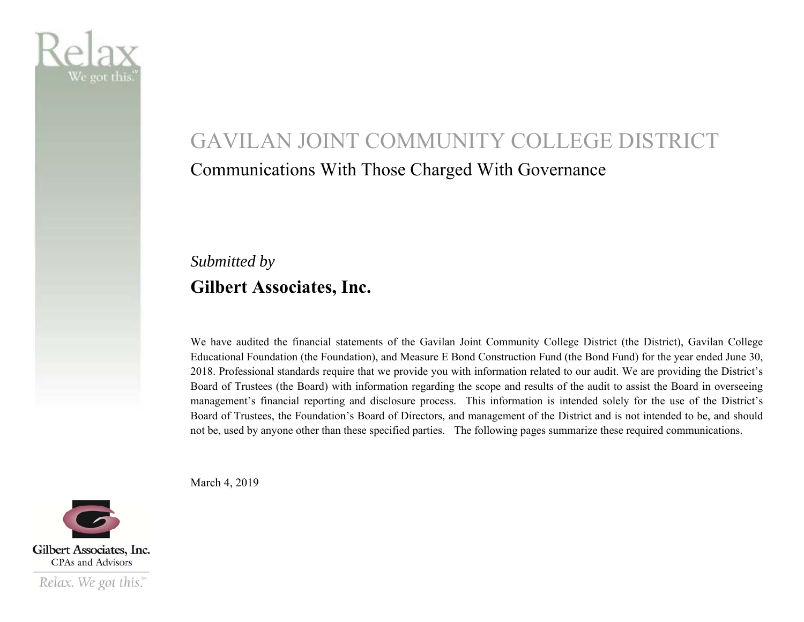

# GAVILAN JOINT COMMUNITY COLLEGE DISTRICT Communications With Those Charged With Governance

# *Submitted by*  **Gilbert Associates, Inc.**

We have audited the financial statements of the Gavilan Joint Community College District (the District), Gavilan College Educational Foundation (the Foundation), and Measure E Bond Construction Fund (the Bond Fund) for the year ended June 30, 2018. Professional standards require that we provide you with information related to our audit. We are providing the District's Board of Trustees (the Board) with information regarding the scope and results of the audit to assist the Board in overseeing managemen<sup>t</sup>'s financial reporting and disclosure process. This information is intended solely for the use of the District's Board of Trustees, the Foundation's Board of Directors, and management of the District and is not intended to be, and should not be, used by anyone other than these specified parties. The following pages summarize these required communications.

March 4, 2019

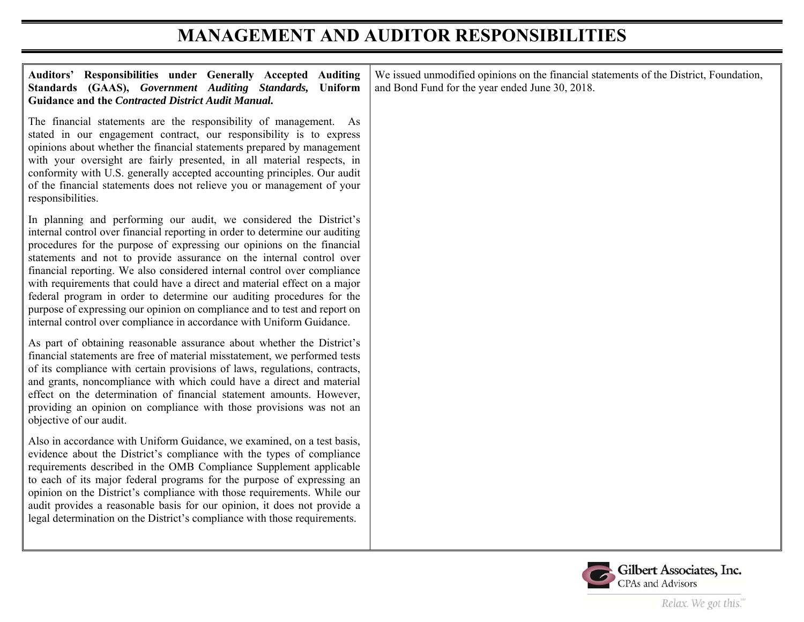# **MANAGEMENT AND AUDITOR RESPONSIBILITIES**

| Auditors' Responsibilities under Generally Accepted Auditing<br>Standards (GAAS), Government Auditing Standards, Uniform<br>Guidance and the Contracted District Audit Manual.                                                                                                                                                                                                                                                                                                                                                                                                                                                                                                               | We issued unmodified opinions on the financial statements of the District, Foundation,<br>and Bond Fund for the year ended June 30, 2018. |
|----------------------------------------------------------------------------------------------------------------------------------------------------------------------------------------------------------------------------------------------------------------------------------------------------------------------------------------------------------------------------------------------------------------------------------------------------------------------------------------------------------------------------------------------------------------------------------------------------------------------------------------------------------------------------------------------|-------------------------------------------------------------------------------------------------------------------------------------------|
| The financial statements are the responsibility of management. As<br>stated in our engagement contract, our responsibility is to express<br>opinions about whether the financial statements prepared by management<br>with your oversight are fairly presented, in all material respects, in<br>conformity with U.S. generally accepted accounting principles. Our audit<br>of the financial statements does not relieve you or management of your<br>responsibilities.                                                                                                                                                                                                                      |                                                                                                                                           |
| In planning and performing our audit, we considered the District's<br>internal control over financial reporting in order to determine our auditing<br>procedures for the purpose of expressing our opinions on the financial<br>statements and not to provide assurance on the internal control over<br>financial reporting. We also considered internal control over compliance<br>with requirements that could have a direct and material effect on a major<br>federal program in order to determine our auditing procedures for the<br>purpose of expressing our opinion on compliance and to test and report on<br>internal control over compliance in accordance with Uniform Guidance. |                                                                                                                                           |
| As part of obtaining reasonable assurance about whether the District's<br>financial statements are free of material misstatement, we performed tests<br>of its compliance with certain provisions of laws, regulations, contracts,<br>and grants, noncompliance with which could have a direct and material<br>effect on the determination of financial statement amounts. However,<br>providing an opinion on compliance with those provisions was not an<br>objective of our audit.                                                                                                                                                                                                        |                                                                                                                                           |
| Also in accordance with Uniform Guidance, we examined, on a test basis,<br>evidence about the District's compliance with the types of compliance<br>requirements described in the OMB Compliance Supplement applicable<br>to each of its major federal programs for the purpose of expressing an<br>opinion on the District's compliance with those requirements. While our<br>audit provides a reasonable basis for our opinion, it does not provide a<br>legal determination on the District's compliance with those requirements.                                                                                                                                                         |                                                                                                                                           |

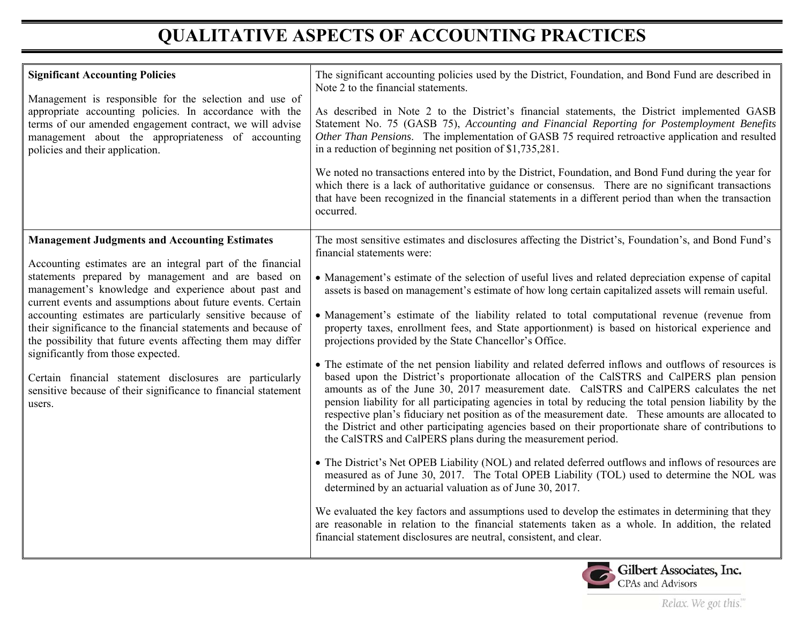# **QUALITATIVE ASPECTS OF ACCOUNTING PRACTICES**

| <b>Significant Accounting Policies</b><br>Management is responsible for the selection and use of<br>appropriate accounting policies. In accordance with the<br>terms of our amended engagement contract, we will advise<br>management about the appropriateness of accounting<br>policies and their application.                                                                                                                                                                                                                                                                                                                                                             | The significant accounting policies used by the District, Foundation, and Bond Fund are described in<br>Note 2 to the financial statements.<br>As described in Note 2 to the District's financial statements, the District implemented GASB<br>Statement No. 75 (GASB 75), Accounting and Financial Reporting for Postemployment Benefits<br>Other Than Pensions. The implementation of GASB 75 required retroactive application and resulted<br>in a reduction of beginning net position of \$1,735,281.<br>We noted no transactions entered into by the District, Foundation, and Bond Fund during the year for<br>which there is a lack of authoritative guidance or consensus. There are no significant transactions<br>that have been recognized in the financial statements in a different period than when the transaction<br>occurred.                                                                                                                                                                                                                                                                                                                                                                                                                                                                                                                                                                                                                                                                                                                                                                                                                                                                                                                                                                                                                      |
|------------------------------------------------------------------------------------------------------------------------------------------------------------------------------------------------------------------------------------------------------------------------------------------------------------------------------------------------------------------------------------------------------------------------------------------------------------------------------------------------------------------------------------------------------------------------------------------------------------------------------------------------------------------------------|---------------------------------------------------------------------------------------------------------------------------------------------------------------------------------------------------------------------------------------------------------------------------------------------------------------------------------------------------------------------------------------------------------------------------------------------------------------------------------------------------------------------------------------------------------------------------------------------------------------------------------------------------------------------------------------------------------------------------------------------------------------------------------------------------------------------------------------------------------------------------------------------------------------------------------------------------------------------------------------------------------------------------------------------------------------------------------------------------------------------------------------------------------------------------------------------------------------------------------------------------------------------------------------------------------------------------------------------------------------------------------------------------------------------------------------------------------------------------------------------------------------------------------------------------------------------------------------------------------------------------------------------------------------------------------------------------------------------------------------------------------------------------------------------------------------------------------------------------------------------|
| <b>Management Judgments and Accounting Estimates</b><br>Accounting estimates are an integral part of the financial<br>statements prepared by management and are based on<br>management's knowledge and experience about past and<br>current events and assumptions about future events. Certain<br>accounting estimates are particularly sensitive because of<br>their significance to the financial statements and because of<br>the possibility that future events affecting them may differ<br>significantly from those expected.<br>Certain financial statement disclosures are particularly<br>sensitive because of their significance to financial statement<br>users. | The most sensitive estimates and disclosures affecting the District's, Foundation's, and Bond Fund's<br>financial statements were:<br>• Management's estimate of the selection of useful lives and related depreciation expense of capital<br>assets is based on management's estimate of how long certain capitalized assets will remain useful.<br>• Management's estimate of the liability related to total computational revenue (revenue from<br>property taxes, enrollment fees, and State apportionment) is based on historical experience and<br>projections provided by the State Chancellor's Office.<br>• The estimate of the net pension liability and related deferred inflows and outflows of resources is<br>based upon the District's proportionate allocation of the CalSTRS and CalPERS plan pension<br>amounts as of the June 30, 2017 measurement date. CalSTRS and CalPERS calculates the net<br>pension liability for all participating agencies in total by reducing the total pension liability by the<br>respective plan's fiduciary net position as of the measurement date. These amounts are allocated to<br>the District and other participating agencies based on their proportionate share of contributions to<br>the CalSTRS and CalPERS plans during the measurement period.<br>• The District's Net OPEB Liability (NOL) and related deferred outflows and inflows of resources are<br>measured as of June 30, 2017. The Total OPEB Liability (TOL) used to determine the NOL was<br>determined by an actuarial valuation as of June 30, 2017.<br>We evaluated the key factors and assumptions used to develop the estimates in determining that they<br>are reasonable in relation to the financial statements taken as a whole. In addition, the related<br>financial statement disclosures are neutral, consistent, and clear. |

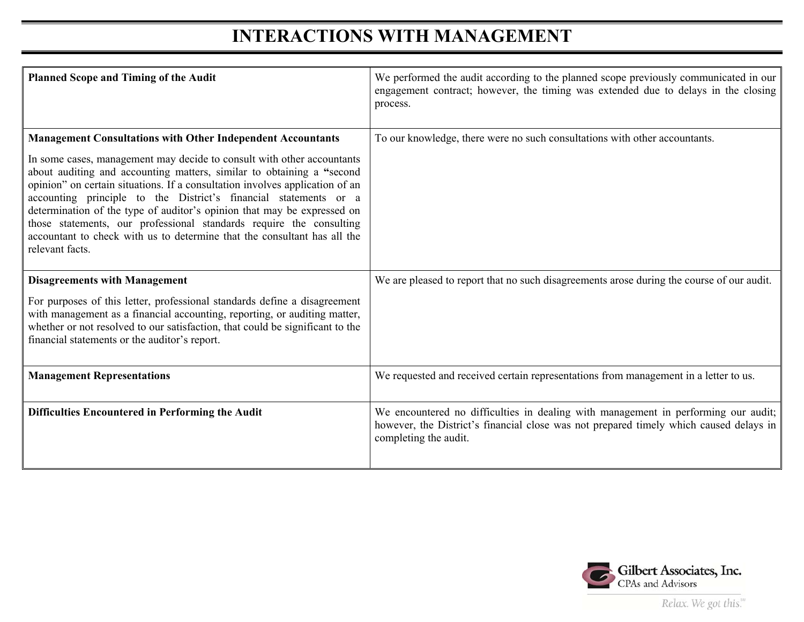# **INTERACTIONS WITH MANAGEMENT**

| <b>Planned Scope and Timing of the Audit</b>                                                                                                                                                                                                                                                                                                                                                                                                                                                                                                         | We performed the audit according to the planned scope previously communicated in our<br>engagement contract; however, the timing was extended due to delays in the closing<br>process.                |
|------------------------------------------------------------------------------------------------------------------------------------------------------------------------------------------------------------------------------------------------------------------------------------------------------------------------------------------------------------------------------------------------------------------------------------------------------------------------------------------------------------------------------------------------------|-------------------------------------------------------------------------------------------------------------------------------------------------------------------------------------------------------|
| <b>Management Consultations with Other Independent Accountants</b>                                                                                                                                                                                                                                                                                                                                                                                                                                                                                   | To our knowledge, there were no such consultations with other accountants.                                                                                                                            |
| In some cases, management may decide to consult with other accountants<br>about auditing and accounting matters, similar to obtaining a "second<br>opinion" on certain situations. If a consultation involves application of an<br>accounting principle to the District's financial statements or a<br>determination of the type of auditor's opinion that may be expressed on<br>those statements, our professional standards require the consulting<br>accountant to check with us to determine that the consultant has all the<br>relevant facts. |                                                                                                                                                                                                       |
| <b>Disagreements with Management</b>                                                                                                                                                                                                                                                                                                                                                                                                                                                                                                                 | We are pleased to report that no such disagreements arose during the course of our audit.                                                                                                             |
| For purposes of this letter, professional standards define a disagreement<br>with management as a financial accounting, reporting, or auditing matter,<br>whether or not resolved to our satisfaction, that could be significant to the<br>financial statements or the auditor's report.                                                                                                                                                                                                                                                             |                                                                                                                                                                                                       |
| <b>Management Representations</b>                                                                                                                                                                                                                                                                                                                                                                                                                                                                                                                    | We requested and received certain representations from management in a letter to us.                                                                                                                  |
| Difficulties Encountered in Performing the Audit                                                                                                                                                                                                                                                                                                                                                                                                                                                                                                     | We encountered no difficulties in dealing with management in performing our audit;<br>however, the District's financial close was not prepared timely which caused delays in<br>completing the audit. |



Relax. We got this."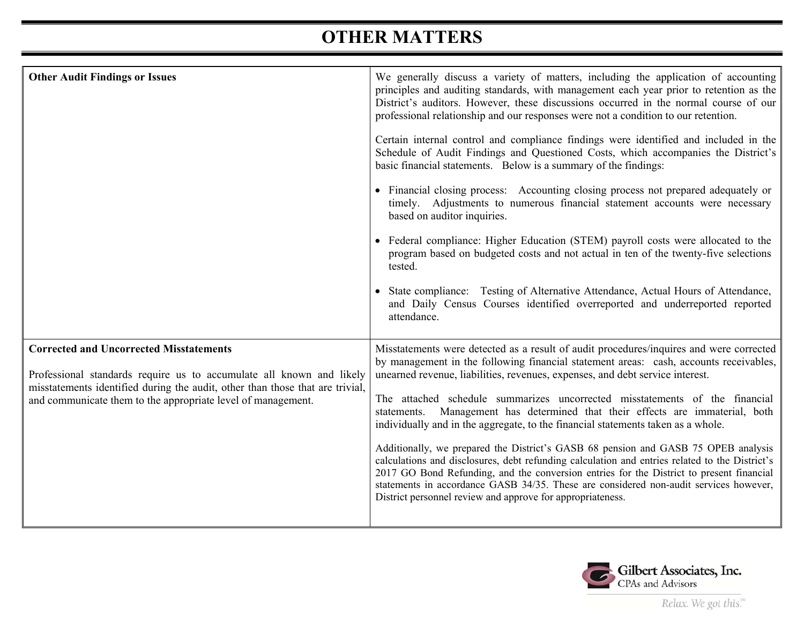# **OTHER MATTERS**

| <b>Other Audit Findings or Issues</b>                                                                                                                                                                                                                                   | We generally discuss a variety of matters, including the application of accounting<br>principles and auditing standards, with management each year prior to retention as the<br>District's auditors. However, these discussions occurred in the normal course of our<br>professional relationship and our responses were not a condition to our retention.<br>Certain internal control and compliance findings were identified and included in the<br>Schedule of Audit Findings and Questioned Costs, which accompanies the District's<br>basic financial statements. Below is a summary of the findings:<br>• Financial closing process: Accounting closing process not prepared adequately or<br>timely. Adjustments to numerous financial statement accounts were necessary<br>based on auditor inquiries.<br>• Federal compliance: Higher Education (STEM) payroll costs were allocated to the<br>program based on budgeted costs and not actual in ten of the twenty-five selections<br>tested.<br>• State compliance: Testing of Alternative Attendance, Actual Hours of Attendance,<br>and Daily Census Courses identified overreported and underreported reported<br>attendance. |
|-------------------------------------------------------------------------------------------------------------------------------------------------------------------------------------------------------------------------------------------------------------------------|-------------------------------------------------------------------------------------------------------------------------------------------------------------------------------------------------------------------------------------------------------------------------------------------------------------------------------------------------------------------------------------------------------------------------------------------------------------------------------------------------------------------------------------------------------------------------------------------------------------------------------------------------------------------------------------------------------------------------------------------------------------------------------------------------------------------------------------------------------------------------------------------------------------------------------------------------------------------------------------------------------------------------------------------------------------------------------------------------------------------------------------------------------------------------------------------|
| <b>Corrected and Uncorrected Misstatements</b><br>Professional standards require us to accumulate all known and likely<br>misstatements identified during the audit, other than those that are trivial,<br>and communicate them to the appropriate level of management. | Misstatements were detected as a result of audit procedures/inquires and were corrected<br>by management in the following financial statement areas: cash, accounts receivables,<br>unearned revenue, liabilities, revenues, expenses, and debt service interest.<br>The attached schedule summarizes uncorrected misstatements of the financial<br>statements. Management has determined that their effects are immaterial, both<br>individually and in the aggregate, to the financial statements taken as a whole.<br>Additionally, we prepared the District's GASB 68 pension and GASB 75 OPEB analysis<br>calculations and disclosures, debt refunding calculation and entries related to the District's<br>2017 GO Bond Refunding, and the conversion entries for the District to present financial<br>statements in accordance GASB 34/35. These are considered non-audit services however,<br>District personnel review and approve for appropriateness.                                                                                                                                                                                                                          |



Relax. We got this."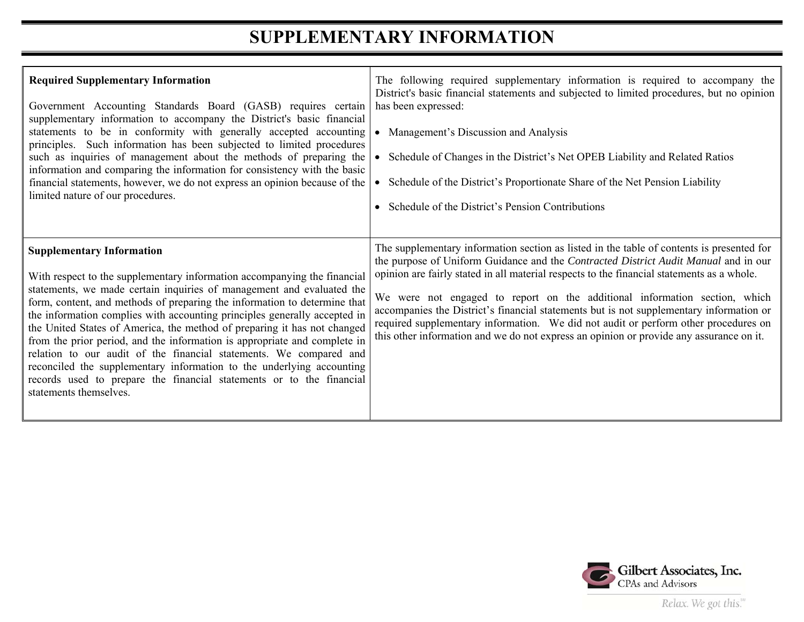## **SUPPLEMENTARY INFORMATION**

| <b>Required Supplementary Information</b><br>Government Accounting Standards Board (GASB) requires certain<br>supplementary information to accompany the District's basic financial<br>statements to be in conformity with generally accepted accounting<br>principles. Such information has been subjected to limited procedures<br>such as inquiries of management about the methods of preparing the<br>information and comparing the information for consistency with the basic<br>financial statements, however, we do not express an opinion because of the<br>limited nature of our procedures.                                                                                                                                                    | The following required supplementary information is required to accompany the<br>District's basic financial statements and subjected to limited procedures, but no opinion<br>has been expressed:<br>Management's Discussion and Analysis<br>Schedule of Changes in the District's Net OPEB Liability and Related Ratios<br>Schedule of the District's Proportionate Share of the Net Pension Liability<br>Schedule of the District's Pension Contributions                                                                                                                                                                               |
|-----------------------------------------------------------------------------------------------------------------------------------------------------------------------------------------------------------------------------------------------------------------------------------------------------------------------------------------------------------------------------------------------------------------------------------------------------------------------------------------------------------------------------------------------------------------------------------------------------------------------------------------------------------------------------------------------------------------------------------------------------------|-------------------------------------------------------------------------------------------------------------------------------------------------------------------------------------------------------------------------------------------------------------------------------------------------------------------------------------------------------------------------------------------------------------------------------------------------------------------------------------------------------------------------------------------------------------------------------------------------------------------------------------------|
| <b>Supplementary Information</b><br>With respect to the supplementary information accompanying the financial<br>statements, we made certain inquiries of management and evaluated the<br>form, content, and methods of preparing the information to determine that<br>the information complies with accounting principles generally accepted in<br>the United States of America, the method of preparing it has not changed<br>from the prior period, and the information is appropriate and complete in<br>relation to our audit of the financial statements. We compared and<br>reconciled the supplementary information to the underlying accounting<br>records used to prepare the financial statements or to the financial<br>statements themselves. | The supplementary information section as listed in the table of contents is presented for<br>the purpose of Uniform Guidance and the Contracted District Audit Manual and in our<br>opinion are fairly stated in all material respects to the financial statements as a whole.<br>We were not engaged to report on the additional information section, which<br>accompanies the District's financial statements but is not supplementary information or<br>required supplementary information. We did not audit or perform other procedures on<br>this other information and we do not express an opinion or provide any assurance on it. |



Relax. We got this."